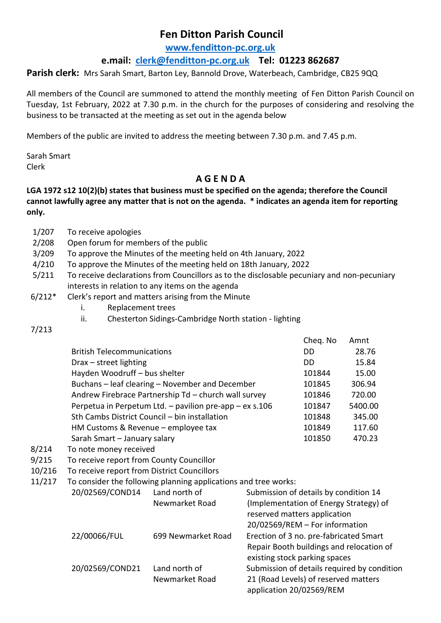## **Fen Ditton Parish Council**

**[www.fenditton-pc.org.uk](http://www.fenditton-pc.org.uk/)**

## **e.mail: [clerk@fenditton-pc.org.uk](mailto:clerk@fenditton-pc.org.uk) Tel: 01223 862687**

**Parish clerk:** Mrs Sarah Smart, Barton Ley, Bannold Drove, Waterbeach, Cambridge, CB25 9QQ

All members of the Council are summoned to attend the monthly meeting of Fen Ditton Parish Council on Tuesday, 1st February, 2022 at 7.30 p.m. in the church for the purposes of considering and resolving the business to be transacted at the meeting as set out in the agenda below

Members of the public are invited to address the meeting between 7.30 p.m. and 7.45 p.m.

Sarah Smart Clerk

## **A G E N D A**

## **LGA 1972 s12 10(2)(b) states that business must be specified on the agenda; therefore the Council cannot lawfully agree any matter that is not on the agenda. \* indicates an agenda item for reporting only.**

- 1/207 To receive apologies
- 2/208 Open forum for members of the public
- 3/209 To approve the Minutes of the meeting held on 4th January, 2022
- 4/210 To approve the Minutes of the meeting held on 18th January, 2022
- 5/211 To receive declarations from Councillors as to the disclosable pecuniary and non-pecuniary interests in relation to any items on the agenda
- 6/212\* Clerk's report and matters arising from the Minute
	- i. Replacement trees
	- ii. Chesterton Sidings-Cambridge North station lighting
- 7/213

|                                                         | Cheq. No | Amnt    |
|---------------------------------------------------------|----------|---------|
| <b>British Telecommunications</b>                       | DD       | 28.76   |
| Drax - street lighting                                  | DD       | 15.84   |
| Hayden Woodruff - bus shelter                           | 101844   | 15.00   |
| Buchans - leaf clearing - November and December         | 101845   | 306.94  |
| Andrew Firebrace Partnership Td - church wall survey    | 101846   | 720.00  |
| Perpetua in Perpetum Ltd. - pavilion pre-app - ex s.106 | 101847   | 5400.00 |
| Sth Cambs District Council - bin installation           | 101848   | 345.00  |
| HM Customs & Revenue - employee tax                     | 101849   | 117.60  |
| Sarah Smart - January salary                            | 101850   | 470.23  |
|                                                         |          |         |

- 8/214 To note money received
- 9/215 To receive report from County Councillor
- 10/216 To receive report from District Councillors
- 11/217 To consider the following planning applications and tree works:

|  | 20/02569/COND14 | Land north of      | Submission of details by condition 14                            |  |
|--|-----------------|--------------------|------------------------------------------------------------------|--|
|  |                 | Newmarket Road     | (Implementation of Energy Strategy) of                           |  |
|  |                 |                    | reserved matters application                                     |  |
|  |                 |                    | 20/02569/REM - For information                                   |  |
|  | 22/00066/FUL    | 699 Newmarket Road | Erection of 3 no. pre-fabricated Smart                           |  |
|  |                 |                    | Repair Booth buildings and relocation of                         |  |
|  |                 |                    | existing stock parking spaces                                    |  |
|  | 20/02569/COND21 | Land north of      | Submission of details required by condition                      |  |
|  |                 | Newmarket Road     | 21 (Road Levels) of reserved matters<br>application 20/02569/REM |  |
|  |                 |                    |                                                                  |  |